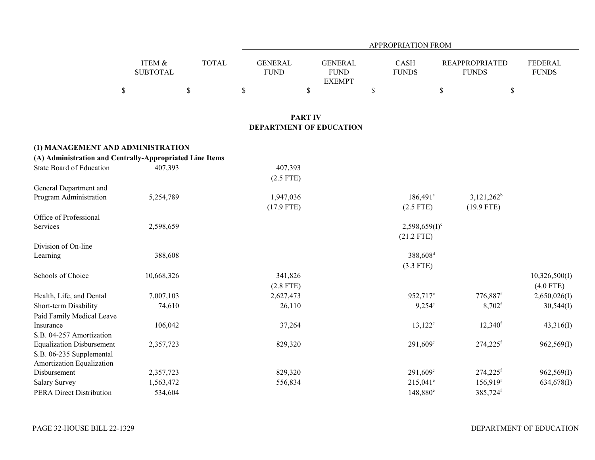|                                                              |                           |              |                                                  |                                                | APPROPRIATION FROM          |      |                                       |                                |
|--------------------------------------------------------------|---------------------------|--------------|--------------------------------------------------|------------------------------------------------|-----------------------------|------|---------------------------------------|--------------------------------|
|                                                              | ITEM &<br><b>SUBTOTAL</b> | <b>TOTAL</b> | <b>GENERAL</b><br><b>FUND</b>                    | <b>GENERAL</b><br><b>FUND</b><br><b>EXEMPT</b> | <b>CASH</b><br><b>FUNDS</b> |      | <b>REAPPROPRIATED</b><br><b>FUNDS</b> | <b>FEDERAL</b><br><b>FUNDS</b> |
|                                                              | $\$$                      | $\$$         | $\$$                                             | $\mathbb{S}$                                   | \$                          | $\$$ | \$                                    |                                |
|                                                              |                           |              | <b>PART IV</b><br><b>DEPARTMENT OF EDUCATION</b> |                                                |                             |      |                                       |                                |
| (1) MANAGEMENT AND ADMINISTRATION                            |                           |              |                                                  |                                                |                             |      |                                       |                                |
| (A) Administration and Centrally-Appropriated Line Items     |                           |              |                                                  |                                                |                             |      |                                       |                                |
| <b>State Board of Education</b>                              | 407,393                   |              | 407,393                                          |                                                |                             |      |                                       |                                |
|                                                              |                           |              | $(2.5$ FTE)                                      |                                                |                             |      |                                       |                                |
| General Department and                                       |                           |              |                                                  |                                                |                             |      |                                       |                                |
| Program Administration                                       | 5,254,789                 |              | 1,947,036                                        |                                                | $186,491$ <sup>a</sup>      |      | $3,121,262^b$                         |                                |
|                                                              |                           |              | $(17.9$ FTE)                                     |                                                | $(2.5$ FTE)                 |      | $(19.9$ FTE)                          |                                |
| Office of Professional                                       |                           |              |                                                  |                                                |                             |      |                                       |                                |
| Services                                                     | 2,598,659                 |              |                                                  |                                                | $2,598,659(1)$ <sup>c</sup> |      |                                       |                                |
|                                                              |                           |              |                                                  |                                                | $(21.2$ FTE)                |      |                                       |                                |
| Division of On-line                                          |                           |              |                                                  |                                                |                             |      |                                       |                                |
| Learning                                                     | 388,608                   |              |                                                  |                                                | 388,608 <sup>d</sup>        |      |                                       |                                |
|                                                              |                           |              |                                                  |                                                | $(3.3$ FTE)                 |      |                                       |                                |
| Schools of Choice                                            | 10,668,326                |              | 341,826                                          |                                                |                             |      |                                       | 10,326,500(I)                  |
|                                                              |                           |              | $(2.8$ FTE)                                      |                                                |                             |      |                                       | $(4.0$ FTE)                    |
| Health, Life, and Dental                                     | 7,007,103                 |              | 2,627,473                                        |                                                | 952,717 <sup>e</sup>        |      | $776,887$ <sup>f</sup>                | 2,650,026(I)                   |
| Short-term Disability                                        | 74,610                    |              | 26,110                                           |                                                | $9,254^{\circ}$             |      | $8,702$ <sup>f</sup>                  | 30,544(I)                      |
| Paid Family Medical Leave                                    |                           |              |                                                  |                                                |                             |      |                                       |                                |
| Insurance                                                    | 106,042                   |              | 37,264                                           |                                                | $13,122^e$                  |      | $12,340$ <sup>f</sup>                 | 43,316(I)                      |
| S.B. 04-257 Amortization<br><b>Equalization Disbursement</b> | 2,357,723                 |              | 829,320                                          |                                                | $291,609^e$                 |      | $274,225$ <sup>f</sup>                | 962,569(I)                     |
| S.B. 06-235 Supplemental                                     |                           |              |                                                  |                                                |                             |      |                                       |                                |
| <b>Amortization Equalization</b>                             |                           |              |                                                  |                                                |                             |      |                                       |                                |
| Disbursement                                                 | 2,357,723                 |              | 829,320                                          |                                                | $291,609^e$                 |      | $274,225$ <sup>f</sup>                | 962,569(I)                     |
| <b>Salary Survey</b>                                         | 1,563,472                 |              | 556,834                                          |                                                | $215,041^e$                 |      | $156,919$ <sup>f</sup>                | 634,678(I)                     |
| <b>PERA Direct Distribution</b>                              | 534,604                   |              |                                                  |                                                | $148,880^{\circ}$           |      | 385,724 <sup>f</sup>                  |                                |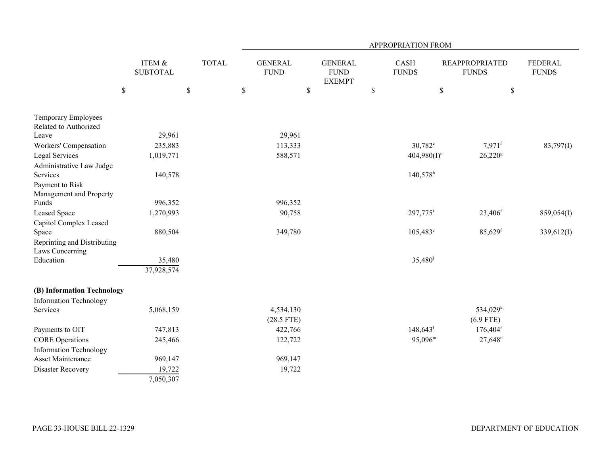|                                                |                           |              | APPROPRIATION FROM            |                                                |      |                             |                                       |                        |                                |  |
|------------------------------------------------|---------------------------|--------------|-------------------------------|------------------------------------------------|------|-----------------------------|---------------------------------------|------------------------|--------------------------------|--|
|                                                | ITEM &<br><b>SUBTOTAL</b> | <b>TOTAL</b> | <b>GENERAL</b><br><b>FUND</b> | <b>GENERAL</b><br><b>FUND</b><br><b>EXEMPT</b> |      | <b>CASH</b><br><b>FUNDS</b> | <b>REAPPROPRIATED</b><br><b>FUNDS</b> |                        | <b>FEDERAL</b><br><b>FUNDS</b> |  |
|                                                | $\$$                      | $\$$         | \$                            | \$                                             | $\$$ |                             | \$                                    | $\mathbb{S}$           |                                |  |
| Temporary Employees<br>Related to Authorized   |                           |              |                               |                                                |      |                             |                                       |                        |                                |  |
| Leave                                          | 29,961                    |              | 29,961                        |                                                |      |                             |                                       |                        |                                |  |
| Workers' Compensation                          | 235,883                   |              | 113,333                       |                                                |      | $30,782^e$                  |                                       | $7,971$ <sup>f</sup>   | 83,797(I)                      |  |
| Legal Services                                 | 1,019,771                 |              | 588,571                       |                                                |      | $404,980(I)^c$              |                                       | $26,220$ <sup>g</sup>  |                                |  |
| Administrative Law Judge                       |                           |              |                               |                                                |      |                             |                                       |                        |                                |  |
| Services                                       | 140,578                   |              |                               |                                                |      | $140,578$ <sup>h</sup>      |                                       |                        |                                |  |
| Payment to Risk                                |                           |              |                               |                                                |      |                             |                                       |                        |                                |  |
| Management and Property                        |                           |              |                               |                                                |      |                             |                                       |                        |                                |  |
| Funds                                          | 996,352                   |              | 996,352                       |                                                |      |                             |                                       |                        |                                |  |
| Leased Space                                   | 1,270,993                 |              | 90,758                        |                                                |      | 297,775 <sup>i</sup>        |                                       | 23,406 <sup>f</sup>    | 859,054(I)                     |  |
| Capitol Complex Leased                         |                           |              |                               |                                                |      |                             |                                       |                        |                                |  |
| Space                                          | 880,504                   |              | 349,780                       |                                                |      | $105,483^{\circ}$           |                                       | $85,629$ <sup>f</sup>  | 339,612(I)                     |  |
| Reprinting and Distributing<br>Laws Concerning |                           |              |                               |                                                |      |                             |                                       |                        |                                |  |
| Education                                      | 35,480                    |              |                               |                                                |      | $35,480^{\circ}$            |                                       |                        |                                |  |
|                                                | 37,928,574                |              |                               |                                                |      |                             |                                       |                        |                                |  |
| (B) Information Technology                     |                           |              |                               |                                                |      |                             |                                       |                        |                                |  |
| <b>Information Technology</b>                  |                           |              |                               |                                                |      |                             |                                       |                        |                                |  |
| Services                                       | 5,068,159                 |              | 4,534,130                     |                                                |      |                             |                                       | 534,029 <sup>k</sup>   |                                |  |
|                                                |                           |              | $(28.5$ FTE)                  |                                                |      |                             |                                       | $(6.9$ FTE)            |                                |  |
| Payments to OIT                                | 747,813                   |              | 422,766                       |                                                |      | $148,643^1$                 |                                       | $176,404$ <sup>f</sup> |                                |  |
| <b>CORE Operations</b>                         | 245,466                   |              | 122,722                       |                                                |      | $95,096^{\rm m}$            |                                       | $27,648$ <sup>n</sup>  |                                |  |
| <b>Information Technology</b>                  |                           |              |                               |                                                |      |                             |                                       |                        |                                |  |
| Asset Maintenance                              | 969,147                   |              | 969,147                       |                                                |      |                             |                                       |                        |                                |  |
| Disaster Recovery                              | 19,722                    |              | 19,722                        |                                                |      |                             |                                       |                        |                                |  |
|                                                | 7,050,307                 |              |                               |                                                |      |                             |                                       |                        |                                |  |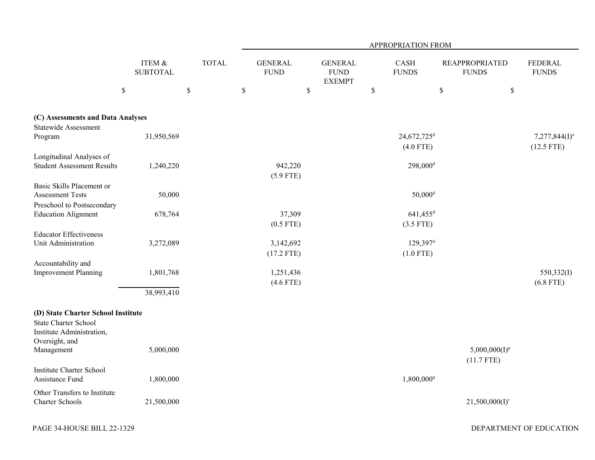|                                    |                              |              |                               |                                                | APPROPRIATION FROM      |                                       |                                |
|------------------------------------|------------------------------|--------------|-------------------------------|------------------------------------------------|-------------------------|---------------------------------------|--------------------------------|
|                                    | ITEM $\&$<br><b>SUBTOTAL</b> | <b>TOTAL</b> | <b>GENERAL</b><br><b>FUND</b> | <b>GENERAL</b><br><b>FUND</b><br><b>EXEMPT</b> | CASH<br><b>FUNDS</b>    | <b>REAPPROPRIATED</b><br><b>FUNDS</b> | <b>FEDERAL</b><br><b>FUNDS</b> |
|                                    | \$<br>$\$$                   |              | $\mathbb{S}$<br>\$            |                                                | $\mathbb{S}$            | \$<br>$\$$                            |                                |
| (C) Assessments and Data Analyses  |                              |              |                               |                                                |                         |                                       |                                |
| <b>Statewide Assessment</b>        |                              |              |                               |                                                |                         |                                       |                                |
| Program                            | 31,950,569                   |              |                               |                                                | 24,672,725 <sup>d</sup> |                                       | $7,277,844(I)$ °               |
|                                    |                              |              |                               |                                                | $(4.0$ FTE)             |                                       | $(12.5$ FTE)                   |
| Longitudinal Analyses of           |                              |              |                               |                                                |                         |                                       |                                |
| <b>Student Assessment Results</b>  | 1,240,220                    |              | 942,220                       |                                                | $298,000$ <sup>d</sup>  |                                       |                                |
|                                    |                              |              | $(5.9$ FTE)                   |                                                |                         |                                       |                                |
| Basic Skills Placement or          |                              |              |                               |                                                |                         |                                       |                                |
| <b>Assessment Tests</b>            | 50,000                       |              |                               |                                                | $50,000$ <sup>d</sup>   |                                       |                                |
| Preschool to Postsecondary         |                              |              |                               |                                                |                         |                                       |                                |
| <b>Education Alignment</b>         | 678,764                      |              | 37,309                        |                                                | $641,455$ <sup>d</sup>  |                                       |                                |
|                                    |                              |              | $(0.5$ FTE)                   |                                                | $(3.5$ FTE)             |                                       |                                |
| <b>Educator Effectiveness</b>      |                              |              |                               |                                                |                         |                                       |                                |
| Unit Administration                | 3,272,089                    |              | 3,142,692                     |                                                | $129,397$ <sup>d</sup>  |                                       |                                |
|                                    |                              |              | $(17.2$ FTE)                  |                                                | $(1.0$ FTE)             |                                       |                                |
| Accountability and                 |                              |              |                               |                                                |                         |                                       |                                |
| <b>Improvement Planning</b>        | 1,801,768                    |              | 1,251,436                     |                                                |                         |                                       | 550,332(I)                     |
|                                    |                              |              | $(4.6$ FTE)                   |                                                |                         |                                       | $(6.8$ FTE)                    |
|                                    | 38,993,410                   |              |                               |                                                |                         |                                       |                                |
|                                    |                              |              |                               |                                                |                         |                                       |                                |
| (D) State Charter School Institute |                              |              |                               |                                                |                         |                                       |                                |
| <b>State Charter School</b>        |                              |              |                               |                                                |                         |                                       |                                |
| Institute Administration,          |                              |              |                               |                                                |                         |                                       |                                |
| Oversight, and                     |                              |              |                               |                                                |                         |                                       |                                |
| Management                         | 5,000,000                    |              |                               |                                                |                         | $5,000,000(I)^p$                      |                                |
|                                    |                              |              |                               |                                                |                         | $(11.7$ FTE)                          |                                |
| <b>Institute Charter School</b>    |                              |              |                               |                                                |                         |                                       |                                |
| Assistance Fund                    | 1,800,000                    |              |                               |                                                | 1,800,000 <sup>q</sup>  |                                       |                                |
| Other Transfers to Institute       |                              |              |                               |                                                |                         |                                       |                                |
| <b>Charter Schools</b>             | 21,500,000                   |              |                               |                                                |                         | $21,500,000(I)^r$                     |                                |
|                                    |                              |              |                               |                                                |                         |                                       |                                |
|                                    |                              |              |                               |                                                |                         |                                       |                                |
| PAGE 34-HOUSE BILL 22-1329         |                              |              |                               |                                                |                         |                                       | DEPARTMENT OF EDUCATION        |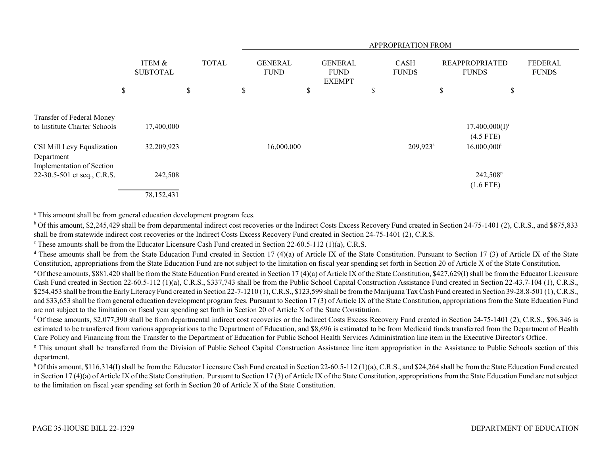|                                                           |                           |              | APPROPRIATION FROM            |                                                |                             |                      |                                                                         |  |  |  |
|-----------------------------------------------------------|---------------------------|--------------|-------------------------------|------------------------------------------------|-----------------------------|----------------------|-------------------------------------------------------------------------|--|--|--|
|                                                           | ITEM &<br><b>SUBTOTAL</b> | <b>TOTAL</b> | <b>GENERAL</b><br><b>FUND</b> | <b>GENERAL</b><br><b>FUND</b><br><b>EXEMPT</b> | <b>CASH</b><br><b>FUNDS</b> |                      | <b>FEDERAL</b><br><b>REAPPROPRIATED</b><br><b>FUNDS</b><br><b>FUNDS</b> |  |  |  |
|                                                           | \$                        | \$           | \$                            | \$                                             | \$                          | \$                   | \$                                                                      |  |  |  |
| Transfer of Federal Money<br>to Institute Charter Schools | 17,400,000                |              |                               |                                                |                             |                      | $17,400,000(I)^r$                                                       |  |  |  |
|                                                           |                           |              |                               |                                                |                             |                      | $(4.5$ FTE)                                                             |  |  |  |
| CSI Mill Levy Equalization<br>Department                  | 32,209,923                |              |                               | 16,000,000                                     |                             | 209,923 <sup>s</sup> | $16,000,000$ <sup>t</sup>                                               |  |  |  |
| Implementation of Section<br>22-30.5-501 et seq., C.R.S.  | 242,508                   |              |                               |                                                |                             |                      | 242,508 <sup>p</sup><br>$(1.6$ FTE)                                     |  |  |  |
|                                                           | 78,152,431                |              |                               |                                                |                             |                      |                                                                         |  |  |  |

<sup>a</sup> This amount shall be from general education development program fees.

<sup>b</sup> Of this amount, \$2,245,429 shall be from departmental indirect cost recoveries or the Indirect Costs Excess Recovery Fund created in Section 24-75-1401 (2), C.R.S., and \$875,833 shall be from statewide indirect cost recoveries or the Indirect Costs Excess Recovery Fund created in Section 24-75-1401 (2), C.R.S.

c These amounts shall be from the Educator Licensure Cash Fund created in Section 22-60.5-112 (1)(a), C.R.S.

<sup>d</sup> These amounts shall be from the State Education Fund created in Section 17 (4)(a) of Article IX of the State Constitution. Pursuant to Section 17 (3) of Article IX of the State Constitution, appropriations from the State Education Fund are not subject to the limitation on fiscal year spending set forth in Section 20 of Article X of the State Constitution.

 $\degree$  Of these amounts, \$881,420 shall be from the State Education Fund created in Section 17 (4)(a) of Article IX of the State Constitution, \$427,629(I) shall be from the Educator Licensure Cash Fund created in Section 22-60.5-112 (1)(a), C.R.S., \$337,743 shall be from the Public School Capital Construction Assistance Fund created in Section 22-43.7-104 (1), C.R.S., \$254,453 shall be from the Early Literacy Fund created in Section 22-7-1210 (1), C.R.S., \$123,599 shall be from the Marijuana Tax Cash Fund created in Section 39-28.8-501 (1), C.R.S., and \$33,653 shall be from general education development program fees. Pursuant to Section 17 (3) of Article IX of the State Constitution, appropriations from the State Education Fund are not subject to the limitation on fiscal year spending set forth in Section 20 of Article X of the State Constitution.

<sup>f</sup> Of these amounts, \$2,077,390 shall be from departmental indirect cost recoveries or the Indirect Costs Excess Recovery Fund created in Section 24-75-1401 (2), C.R.S., \$96,346 is estimated to be transferred from various appropriations to the Department of Education, and \$8,696 is estimated to be from Medicaid funds transferred from the Department of Health Care Policy and Financing from the Transfer to the Department of Education for Public School Health Services Administration line item in the Executive Director's Office.

<sup>g</sup> This amount shall be transferred from the Division of Public School Capital Construction Assistance line item appropriation in the Assistance to Public Schools section of this department.

<sup>h</sup> Of this amount, \$116,314(I) shall be from the Educator Licensure Cash Fund created in Section 22-60.5-112 (1)(a), C.R.S., and \$24,264 shall be from the State Education Fund created in Section 17 (4)(a) of Article IX of the State Constitution. Pursuant to Section 17 (3) of Article IX of the State Constitution, appropriations from the State Education Fund are not subject to the limitation on fiscal year spending set forth in Section 20 of Article X of the State Constitution.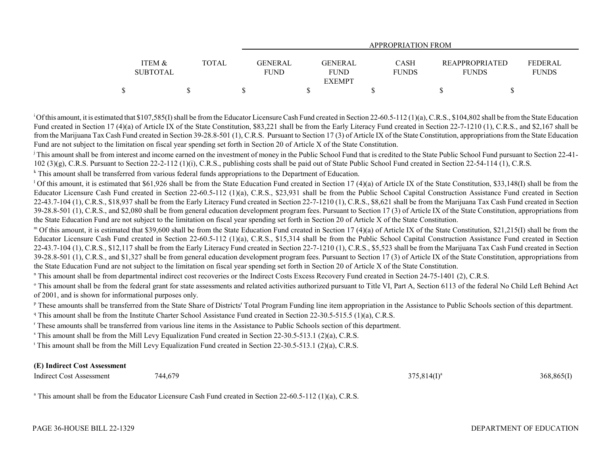|                 |       | APPROPRIATION FROM |                |              |                       |                |  |  |  |  |
|-----------------|-------|--------------------|----------------|--------------|-----------------------|----------------|--|--|--|--|
|                 |       |                    |                |              |                       |                |  |  |  |  |
| ITEM &          | TOTAL | GENERAL            | <b>GENERAL</b> | <b>CASH</b>  | <b>REAPPROPRIATED</b> | <b>FEDERAL</b> |  |  |  |  |
| <b>SUBTOTAL</b> |       | <b>FUND</b>        | <b>FUND</b>    | <b>FUNDS</b> | <b>FUNDS</b>          | <b>FUNDS</b>   |  |  |  |  |
|                 |       |                    | <b>EXEMPT</b>  |              |                       |                |  |  |  |  |
|                 |       |                    |                |              |                       |                |  |  |  |  |

<sup>1</sup>Of this amount, it is estimated that \$107,585(I) shall be from the Educator Licensure Cash Fund created in Section 22-60.5-112 (1)(a), C.R.S., \$104,802 shall be from the State Education Fund created in Section 17 (4)(a) of Article IX of the State Constitution, \$83,221 shall be from the Early Literacy Fund created in Section 22-7-1210 (1), C.R.S., and \$2,167 shall be from the Marijuana Tax Cash Fund created in Section 39-28.8-501 (1), C.R.S. Pursuant to Section 17 (3) of Article IX of the State Constitution, appropriations from the State Education Fund are not subject to the limitation on fiscal year spending set forth in Section 20 of Article X of the State Constitution.

<sup>j</sup> This amount shall be from interest and income earned on the investment of money in the Public School Fund that is credited to the State Public School Fund pursuant to Section 22-41-102 (3)(g), C.R.S. Pursuant to Section 22-2-112 (1)(i), C.R.S., publishing costs shall be paid out of State Public School Fund created in Section 22-54-114 (1), C.R.S.

<sup>k</sup> This amount shall be transferred from various federal funds appropriations to the Department of Education.

<sup>1</sup> Of this amount, it is estimated that \$61,926 shall be from the State Education Fund created in Section 17 (4)(a) of Article IX of the State Constitution, \$33,148(I) shall be from the Educator Licensure Cash Fund created in Section 22-60.5-112 (1)(a), C.R.S., \$23,931 shall be from the Public School Capital Construction Assistance Fund created in Section 22-43.7-104 (1), C.R.S., \$18,937 shall be from the Early Literacy Fund created in Section 22-7-1210 (1), C.R.S., \$8,621 shall be from the Marijuana Tax Cash Fund created in Section 39-28.8-501 (1), C.R.S., and \$2,080 shall be from general education development program fees. Pursuant to Section 17 (3) of Article IX of the State Constitution, appropriations from the State Education Fund are not subject to the limitation on fiscal year spending set forth in Section 20 of Article X of the State Constitution.

m Of this amount, it is estimated that \$39,600 shall be from the State Education Fund created in Section 17 (4)(a) of Article IX of the State Constitution, \$21,215(I) shall be from the Educator Licensure Cash Fund created in Section 22-60.5-112 (1)(a), C.R.S., \$15,314 shall be from the Public School Capital Construction Assistance Fund created in Section 22-43.7-104 (1), C.R.S., \$12,117 shall be from the Early Literacy Fund created in Section 22-7-1210 (1), C.R.S., \$5,523 shall be from the Marijuana Tax Cash Fund created in Section 39-28.8-501 (1), C.R.S., and \$1,327 shall be from general education development program fees. Pursuant to Section 17 (3) of Article IX of the State Constitution, appropriations from the State Education Fund are not subject to the limitation on fiscal year spending set forth in Section 20 of Article X of the State Constitution.

n This amount shall be from departmental indirect cost recoveries or the Indirect Costs Excess Recovery Fund created in Section 24-75-1401 (2), C.R.S.

<sup>o</sup> This amount shall be from the federal grant for state assessments and related activities authorized pursuant to Title VI, Part A, Section 6113 of the federal No Child Left Behind Act of 2001, and is shown for informational purposes only.

<sup>p</sup> These amounts shall be transferred from the State Share of Districts' Total Program Funding line item appropriation in the Assistance to Public Schools section of this department.

<sup>q</sup> This amount shall be from the Institute Charter School Assistance Fund created in Section 22-30.5-515.5 (1)(a), C.R.S.

r These amounts shall be transferred from various line items in the Assistance to Public Schools section of this department.

s This amount shall be from the Mill Levy Equalization Fund created in Section 22-30.5-513.1 (2)(a), C.R.S.

t This amount shall be from the Mill Levy Equalization Fund created in Section 22-30.5-513.1 (2)(a), C.R.S.

## **(E) Indirect Cost Assessment**

Indirect Cost Assessment  $744,679$   $375,814(I)^a$   $375,814(I)^a$   $368,865(I)$ 

<sup>a</sup> This amount shall be from the Educator Licensure Cash Fund created in Section 22-60.5-112 (1)(a), C.R.S.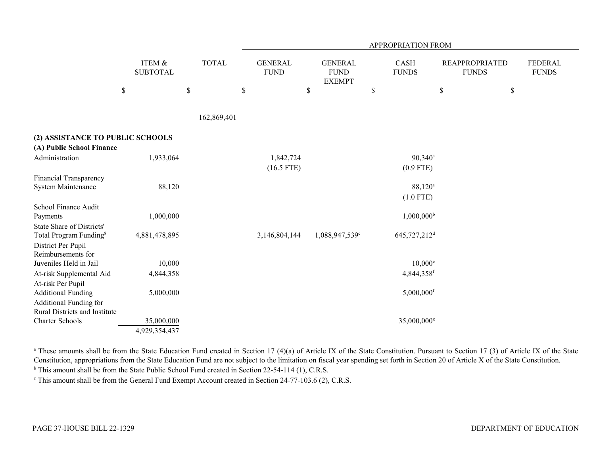|                                          |                           |              | APPROPRIATION FROM            |                                                |    |                          |                                       |                                |  |  |  |
|------------------------------------------|---------------------------|--------------|-------------------------------|------------------------------------------------|----|--------------------------|---------------------------------------|--------------------------------|--|--|--|
|                                          | ITEM &<br><b>SUBTOTAL</b> | <b>TOTAL</b> | <b>GENERAL</b><br><b>FUND</b> | <b>GENERAL</b><br><b>FUND</b><br><b>EXEMPT</b> |    | CASH<br><b>FUNDS</b>     | <b>REAPPROPRIATED</b><br><b>FUNDS</b> | <b>FEDERAL</b><br><b>FUNDS</b> |  |  |  |
|                                          | $\$$                      | $\mathbb S$  | $\$$                          | \$                                             | \$ |                          | \$                                    | $\$$                           |  |  |  |
|                                          |                           |              |                               |                                                |    |                          |                                       |                                |  |  |  |
|                                          |                           | 162,869,401  |                               |                                                |    |                          |                                       |                                |  |  |  |
| (2) ASSISTANCE TO PUBLIC SCHOOLS         |                           |              |                               |                                                |    |                          |                                       |                                |  |  |  |
| (A) Public School Finance                |                           |              |                               |                                                |    |                          |                                       |                                |  |  |  |
| Administration                           | 1,933,064                 |              | 1,842,724                     |                                                |    | 90,340 <sup>a</sup>      |                                       |                                |  |  |  |
|                                          |                           |              | $(16.5$ FTE)                  |                                                |    | $(0.9$ FTE)              |                                       |                                |  |  |  |
| Financial Transparency                   |                           |              |                               |                                                |    |                          |                                       |                                |  |  |  |
| <b>System Maintenance</b>                | 88,120                    |              |                               |                                                |    | $88,120^{\circ}$         |                                       |                                |  |  |  |
|                                          |                           |              |                               |                                                |    | $(1.0$ FTE)              |                                       |                                |  |  |  |
| School Finance Audit                     |                           |              |                               |                                                |    |                          |                                       |                                |  |  |  |
| Payments                                 | 1,000,000                 |              |                               |                                                |    | $1,000,000^{\rm b}$      |                                       |                                |  |  |  |
| State Share of Districts'                |                           |              |                               |                                                |    |                          |                                       |                                |  |  |  |
| Total Program Funding <sup>8</sup>       | 4,881,478,895             |              | 3,146,804,144                 | 1,088,947,539 <sup>c</sup>                     |    | 645,727,212 <sup>d</sup> |                                       |                                |  |  |  |
| District Per Pupil<br>Reimbursements for |                           |              |                               |                                                |    |                          |                                       |                                |  |  |  |
| Juveniles Held in Jail                   | 10,000                    |              |                               |                                                |    | $10,000^{\circ}$         |                                       |                                |  |  |  |
| At-risk Supplemental Aid                 | 4,844,358                 |              |                               |                                                |    | 4,844,358f               |                                       |                                |  |  |  |
| At-risk Per Pupil                        |                           |              |                               |                                                |    |                          |                                       |                                |  |  |  |
| <b>Additional Funding</b>                | 5,000,000                 |              |                               |                                                |    | $5,000,000$ <sup>f</sup> |                                       |                                |  |  |  |
| <b>Additional Funding for</b>            |                           |              |                               |                                                |    |                          |                                       |                                |  |  |  |
| Rural Districts and Institute            |                           |              |                               |                                                |    |                          |                                       |                                |  |  |  |
| <b>Charter Schools</b>                   | 35,000,000                |              |                               |                                                |    | 35,000,000 <sup>g</sup>  |                                       |                                |  |  |  |
|                                          | 4,929,354,437             |              |                               |                                                |    |                          |                                       |                                |  |  |  |

<sup>a</sup> These amounts shall be from the State Education Fund created in Section 17 (4)(a) of Article IX of the State Constitution. Pursuant to Section 17 (3) of Article IX of the State Constitution, appropriations from the State Education Fund are not subject to the limitation on fiscal year spending set forth in Section 20 of Article X of the State Constitution.

<sup>b</sup> This amount shall be from the State Public School Fund created in Section 22-54-114 (1), C.R.S.

<sup>c</sup> This amount shall be from the General Fund Exempt Account created in Section 24-77-103.6 (2), C.R.S.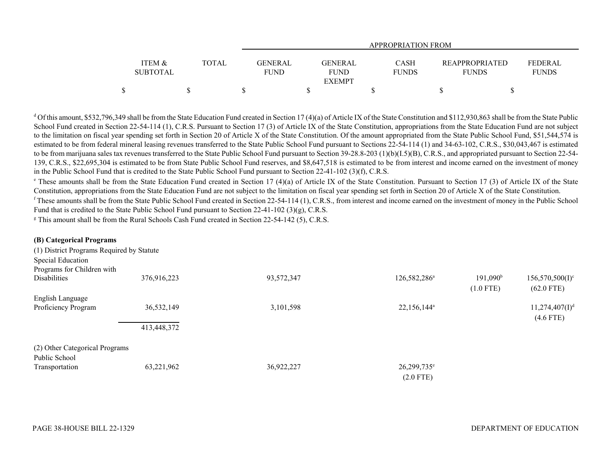|                   |       | <b>APPROPRIATION FROM</b> |               |              |                       |              |  |  |  |  |  |
|-------------------|-------|---------------------------|---------------|--------------|-----------------------|--------------|--|--|--|--|--|
| <b>ITEM &amp;</b> | TOTAL | <b>GENERAL</b>            | GENERAL       | <b>CASH</b>  | <b>REAPPROPRIATED</b> | FEDERAL      |  |  |  |  |  |
| <b>SUBTOTAL</b>   |       | <b>FUND</b>               | <b>FUND</b>   | <b>FUNDS</b> | <b>FUNDS</b>          | <b>FUNDS</b> |  |  |  |  |  |
|                   |       |                           | <b>EXEMPT</b> |              |                       |              |  |  |  |  |  |
|                   |       |                           |               |              |                       |              |  |  |  |  |  |

<sup>d</sup> Of this amount, \$532,796,349 shall be from the State Education Fund created in Section 17 (4)(a) of Article IX of the State Constitution and \$112,930,863 shall be from the State Public School Fund created in Section 22-54-114 (1), C.R.S. Pursuant to Section 17 (3) of Article IX of the State Constitution, appropriations from the State Education Fund are not subject to the limitation on fiscal year spending set forth in Section 20 of Article X of the State Constitution. Of the amount appropriated from the State Public School Fund, \$51,544,574 is estimated to be from federal mineral leasing revenues transferred to the State Public School Fund pursuant to Sections 22-54-114 (1) and 34-63-102, C.R.S., \$30,043,467 is estimated to be from marijuana sales tax revenues transferred to the State Public School Fund pursuant to Section 39-28.8-203 (1)(b)(I.5)(B), C.R.S., and appropriated pursuant to Section 22-54-139, C.R.S., \$22,695,304 is estimated to be from State Public School Fund reserves, and \$8,647,518 is estimated to be from interest and income earned on the investment of money in the Public School Fund that is credited to the State Public School Fund pursuant to Section 22-41-102 (3)(f), C.R.S.

<sup>e</sup> These amounts shall be from the State Education Fund created in Section 17 (4)(a) of Article IX of the State Constitution. Pursuant to Section 17 (3) of Article IX of the State Constitution, appropriations from the State Education Fund are not subject to the limitation on fiscal year spending set forth in Section 20 of Article X of the State Constitution.

 $f$  These amounts shall be from the State Public School Fund created in Section 22-54-114 (1), C.R.S., from interest and income earned on the investment of money in the Public School Fund that is credited to the State Public School Fund pursuant to Section 22-41-102 (3)(g), C.R.S.

<sup>g</sup> This amount shall be from the Rural Schools Cash Fund created in Section 22-54-142 (5), C.R.S.

| (B) Categorical Programs                  |             |            |                          |                   |                            |
|-------------------------------------------|-------------|------------|--------------------------|-------------------|----------------------------|
| (1) District Programs Required by Statute |             |            |                          |                   |                            |
| Special Education                         |             |            |                          |                   |                            |
| Programs for Children with                |             |            |                          |                   |                            |
| <b>Disabilities</b>                       | 376,916,223 | 93,572,347 | 126,582,286 <sup>a</sup> | $191,090^{\rm b}$ | $156,570,500(I)^c$         |
|                                           |             |            |                          | $(1.0$ FTE)       | $(62.0$ FTE)               |
| English Language                          |             |            |                          |                   |                            |
| Proficiency Program                       | 36,532,149  | 3,101,598  | 22,156,144 <sup>a</sup>  |                   | 11,274,407(1) <sup>d</sup> |
|                                           |             |            |                          |                   | $(4.6$ FTE)                |
|                                           | 413,448,372 |            |                          |                   |                            |
| (2) Other Categorical Programs            |             |            |                          |                   |                            |
| Public School                             |             |            |                          |                   |                            |
| Transportation                            | 63,221,962  | 36,922,227 | 26,299,735 <sup>e</sup>  |                   |                            |
|                                           |             |            | $(2.0$ FTE)              |                   |                            |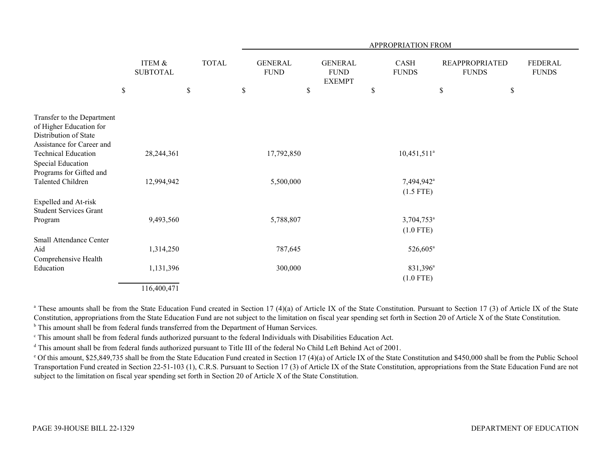|                                                                               | APPROPRIATION FROM |                                      |    |  |              |            |      |                                |                                                |                        |            |                      |                                       |                                |
|-------------------------------------------------------------------------------|--------------------|--------------------------------------|----|--|--------------|------------|------|--------------------------------|------------------------------------------------|------------------------|------------|----------------------|---------------------------------------|--------------------------------|
|                                                                               |                    | <b>ITEM &amp;</b><br><b>SUBTOTAL</b> |    |  | <b>TOTAL</b> |            |      | <b>GENERAL</b><br>${\rm FUND}$ | <b>GENERAL</b><br><b>FUND</b><br><b>EXEMPT</b> |                        |            | CASH<br><b>FUNDS</b> | <b>REAPPROPRIATED</b><br><b>FUNDS</b> | <b>FEDERAL</b><br><b>FUNDS</b> |
|                                                                               | $\mathbb S$        |                                      | \$ |  | \$           |            | $\$$ |                                | $\$$                                           |                        | \$<br>$\$$ |                      |                                       |                                |
| Transfer to the Department                                                    |                    |                                      |    |  |              |            |      |                                |                                                |                        |            |                      |                                       |                                |
| of Higher Education for<br>Distribution of State<br>Assistance for Career and |                    |                                      |    |  |              |            |      |                                |                                                |                        |            |                      |                                       |                                |
| <b>Technical Education</b>                                                    |                    | 28, 244, 361                         |    |  |              | 17,792,850 |      |                                |                                                | $10,451,511^a$         |            |                      |                                       |                                |
| Special Education<br>Programs for Gifted and                                  |                    |                                      |    |  |              |            |      |                                |                                                |                        |            |                      |                                       |                                |
| Talented Children                                                             |                    | 12,994,942                           |    |  |              | 5,500,000  |      |                                |                                                | 7,494,942 <sup>a</sup> |            |                      |                                       |                                |
|                                                                               |                    |                                      |    |  |              |            |      |                                |                                                | $(1.5$ FTE)            |            |                      |                                       |                                |
| Expelled and At-risk<br><b>Student Services Grant</b>                         |                    |                                      |    |  |              |            |      |                                |                                                |                        |            |                      |                                       |                                |
| Program                                                                       |                    | 9,493,560                            |    |  |              | 5,788,807  |      |                                |                                                | 3,704,753 <sup>a</sup> |            |                      |                                       |                                |
|                                                                               |                    |                                      |    |  |              |            |      |                                |                                                | $(1.0$ FTE)            |            |                      |                                       |                                |
| <b>Small Attendance Center</b>                                                |                    |                                      |    |  |              |            |      |                                |                                                |                        |            |                      |                                       |                                |
| Aid<br>Comprehensive Health                                                   |                    | 1,314,250                            |    |  |              | 787,645    |      |                                |                                                | $526,605^{\rm a}$      |            |                      |                                       |                                |
| Education                                                                     |                    | 1,131,396                            |    |  |              | 300,000    |      |                                |                                                | 831,396 <sup>a</sup>   |            |                      |                                       |                                |
|                                                                               |                    |                                      |    |  |              |            |      |                                |                                                | $(1.0$ FTE)            |            |                      |                                       |                                |
|                                                                               |                    | 116,400,471                          |    |  |              |            |      |                                |                                                |                        |            |                      |                                       |                                |

<sup>a</sup> These amounts shall be from the State Education Fund created in Section 17 (4)(a) of Article IX of the State Constitution. Pursuant to Section 17 (3) of Article IX of the State Constitution, appropriations from the State Education Fund are not subject to the limitation on fiscal year spending set forth in Section 20 of Article X of the State Constitution.

**b** This amount shall be from federal funds transferred from the Department of Human Services.

c This amount shall be from federal funds authorized pursuant to the federal Individuals with Disabilities Education Act.

<sup>d</sup> This amount shall be from federal funds authorized pursuant to Title III of the federal No Child Left Behind Act of 2001.

e Of this amount, \$25,849,735 shall be from the State Education Fund created in Section 17 (4)(a) of Article IX of the State Constitution and \$450,000 shall be from the Public School Transportation Fund created in Section 22-51-103 (1), C.R.S. Pursuant to Section 17 (3) of Article IX of the State Constitution, appropriations from the State Education Fund are not subject to the limitation on fiscal year spending set forth in Section 20 of Article X of the State Constitution.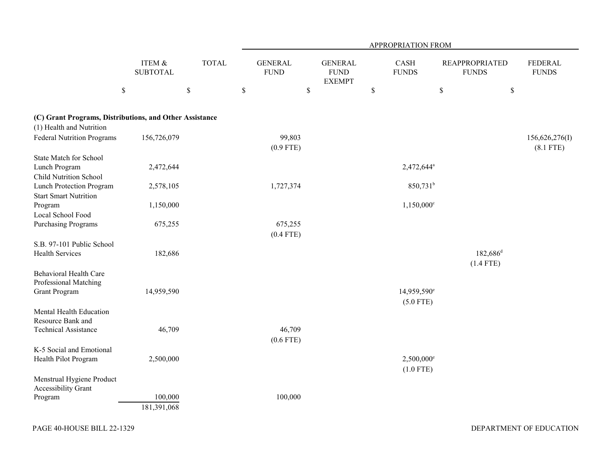|                                                                                     |                           |              | APPROPRIATION FROM            |                                                |                      |                                         |                                       |                                |  |  |
|-------------------------------------------------------------------------------------|---------------------------|--------------|-------------------------------|------------------------------------------------|----------------------|-----------------------------------------|---------------------------------------|--------------------------------|--|--|
|                                                                                     | ITEM &<br><b>SUBTOTAL</b> | <b>TOTAL</b> | <b>GENERAL</b><br><b>FUND</b> | <b>GENERAL</b><br><b>FUND</b><br><b>EXEMPT</b> | CASH<br><b>FUNDS</b> |                                         | <b>REAPPROPRIATED</b><br><b>FUNDS</b> | <b>FEDERAL</b><br><b>FUNDS</b> |  |  |
|                                                                                     | \$                        | $\mathbb S$  | $\mathbb S$                   | \$                                             | $\mathbb S$          | \$                                      | $\$$                                  |                                |  |  |
| (C) Grant Programs, Distributions, and Other Assistance<br>(1) Health and Nutrition |                           |              |                               |                                                |                      |                                         |                                       |                                |  |  |
| <b>Federal Nutrition Programs</b>                                                   | 156,726,079               |              | 99,803<br>$(0.9$ FTE)         |                                                |                      |                                         |                                       | 156,626,276(I)<br>$(8.1$ FTE)  |  |  |
| State Match for School<br>Lunch Program<br><b>Child Nutrition School</b>            | 2,472,644                 |              |                               |                                                |                      | 2,472,644 <sup>a</sup>                  |                                       |                                |  |  |
| Lunch Protection Program<br><b>Start Smart Nutrition</b>                            | 2,578,105                 |              | 1,727,374                     |                                                |                      | 850,731 <sup>b</sup>                    |                                       |                                |  |  |
| Program<br>Local School Food                                                        | 1,150,000                 |              |                               |                                                |                      | $1,150,000$ <sup>c</sup>                |                                       |                                |  |  |
| <b>Purchasing Programs</b>                                                          | 675,255                   |              | 675,255<br>$(0.4$ FTE)        |                                                |                      |                                         |                                       |                                |  |  |
| S.B. 97-101 Public School<br><b>Health Services</b>                                 | 182,686                   |              |                               |                                                |                      |                                         | $182,686$ <sup>d</sup><br>$(1.4$ FTE) |                                |  |  |
| Behavioral Health Care<br>Professional Matching<br><b>Grant Program</b>             | 14,959,590                |              |                               |                                                |                      | 14,959,590 <sup>e</sup><br>$(5.0$ FTE)  |                                       |                                |  |  |
| Mental Health Education<br>Resource Bank and                                        |                           |              |                               |                                                |                      |                                         |                                       |                                |  |  |
| <b>Technical Assistance</b>                                                         | 46,709                    |              | 46,709<br>(0.6 FTE)           |                                                |                      |                                         |                                       |                                |  |  |
| K-5 Social and Emotional<br>Health Pilot Program                                    | 2,500,000                 |              |                               |                                                |                      | $2,500,000$ <sup>e</sup><br>$(1.0$ FTE) |                                       |                                |  |  |
| Menstrual Hygiene Product<br>Accessibility Grant                                    |                           |              |                               |                                                |                      |                                         |                                       |                                |  |  |
| Program                                                                             | 100,000<br>181,391,068    |              | 100,000                       |                                                |                      |                                         |                                       |                                |  |  |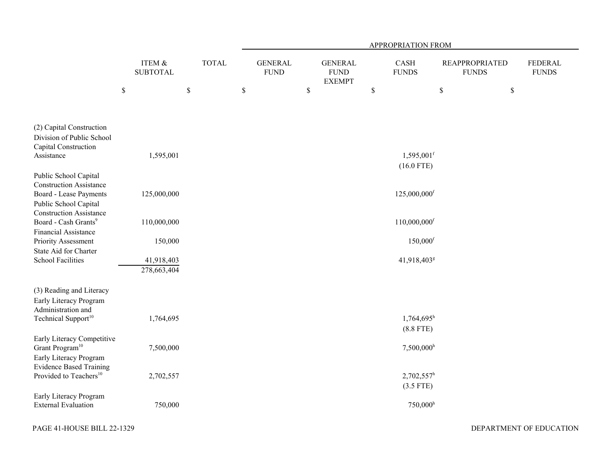|                                                                                          |                           |              | APPROPRIATION FROM |                               |      |                                                |              |                                          |                                       |      |                                |
|------------------------------------------------------------------------------------------|---------------------------|--------------|--------------------|-------------------------------|------|------------------------------------------------|--------------|------------------------------------------|---------------------------------------|------|--------------------------------|
|                                                                                          | ITEM &<br><b>SUBTOTAL</b> | <b>TOTAL</b> |                    | <b>GENERAL</b><br><b>FUND</b> |      | <b>GENERAL</b><br><b>FUND</b><br><b>EXEMPT</b> |              | CASH<br><b>FUNDS</b>                     | <b>REAPPROPRIATED</b><br><b>FUNDS</b> |      | <b>FEDERAL</b><br><b>FUNDS</b> |
|                                                                                          | $\$$                      | \$           | \$                 |                               | $\$$ |                                                | $\mathbb{S}$ |                                          | \$                                    | $\$$ |                                |
| (2) Capital Construction<br>Division of Public School<br>Capital Construction            |                           |              |                    |                               |      |                                                |              |                                          |                                       |      |                                |
| Assistance                                                                               | 1,595,001                 |              |                    |                               |      |                                                |              | $1,595,001$ <sup>f</sup><br>$(16.0$ FTE) |                                       |      |                                |
| Public School Capital<br><b>Construction Assistance</b>                                  |                           |              |                    |                               |      |                                                |              |                                          |                                       |      |                                |
| <b>Board - Lease Payments</b><br>Public School Capital<br><b>Construction Assistance</b> | 125,000,000               |              |                    |                               |      |                                                |              | 125,000,000f                             |                                       |      |                                |
| Board - Cash Grants <sup>9</sup><br><b>Financial Assistance</b>                          | 110,000,000               |              |                    |                               |      |                                                |              | $110,000,000$ <sup>f</sup>               |                                       |      |                                |
| Priority Assessment                                                                      | 150,000                   |              |                    |                               |      |                                                |              | $150,000$ <sup>f</sup>                   |                                       |      |                                |
| State Aid for Charter<br><b>School Facilities</b>                                        | 41,918,403<br>278,663,404 |              |                    |                               |      |                                                |              | 41,918,403 <sup>g</sup>                  |                                       |      |                                |
| (3) Reading and Literacy<br>Early Literacy Program<br>Administration and                 |                           |              |                    |                               |      |                                                |              |                                          |                                       |      |                                |
| Technical Support <sup>10</sup>                                                          | 1,764,695                 |              |                    |                               |      |                                                |              | $1,764,695$ <sup>h</sup><br>$(8.8$ FTE)  |                                       |      |                                |
| Early Literacy Competitive<br>Grant Program <sup>10</sup><br>Early Literacy Program      | 7,500,000                 |              |                    |                               |      |                                                |              | $7,500,000$ <sup>h</sup>                 |                                       |      |                                |
| <b>Evidence Based Training</b><br>Provided to Teachers <sup>10</sup>                     | 2,702,557                 |              |                    |                               |      |                                                |              | $2,702,557^{\rm h}$<br>$(3.5$ FTE)       |                                       |      |                                |
| Early Literacy Program<br><b>External Evaluation</b>                                     | 750,000                   |              |                    |                               |      |                                                |              | $750,000$ <sup>h</sup>                   |                                       |      |                                |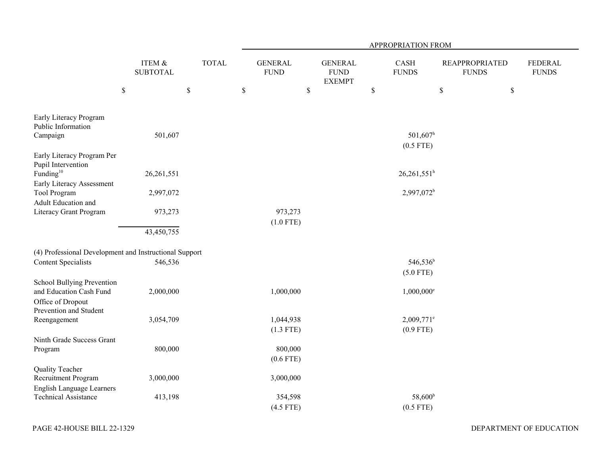|                                                        |                           |              | APPROPRIATION FROM |                               |                                                |      |                                       |                                       |    |                                |  |
|--------------------------------------------------------|---------------------------|--------------|--------------------|-------------------------------|------------------------------------------------|------|---------------------------------------|---------------------------------------|----|--------------------------------|--|
|                                                        | ITEM &<br><b>SUBTOTAL</b> | <b>TOTAL</b> |                    | <b>GENERAL</b><br><b>FUND</b> | <b>GENERAL</b><br><b>FUND</b><br><b>EXEMPT</b> |      | CASH<br><b>FUNDS</b>                  | <b>REAPPROPRIATED</b><br><b>FUNDS</b> |    | <b>FEDERAL</b><br><b>FUNDS</b> |  |
|                                                        | $\$$                      | $\$$         | $\$$               |                               | $\$$                                           | $\$$ |                                       | $\$$                                  | \$ |                                |  |
| Early Literacy Program<br>Public Information           |                           |              |                    |                               |                                                |      |                                       |                                       |    |                                |  |
| Campaign                                               | 501,607                   |              |                    |                               |                                                |      | $501,607$ <sup>h</sup><br>$(0.5$ FTE) |                                       |    |                                |  |
| Early Literacy Program Per<br>Pupil Intervention       |                           |              |                    |                               |                                                |      |                                       |                                       |    |                                |  |
| Funding <sup>10</sup><br>Early Literacy Assessment     | 26,261,551                |              |                    |                               |                                                |      | $26,261,551^h$                        |                                       |    |                                |  |
| Tool Program<br>Adult Education and                    | 2,997,072                 |              |                    |                               |                                                |      | 2,997,072 <sup>b</sup>                |                                       |    |                                |  |
| Literacy Grant Program                                 | 973,273                   |              |                    | 973,273                       |                                                |      |                                       |                                       |    |                                |  |
|                                                        | 43,450,755                |              |                    | $(1.0$ FTE)                   |                                                |      |                                       |                                       |    |                                |  |
| (4) Professional Development and Instructional Support |                           |              |                    |                               |                                                |      |                                       |                                       |    |                                |  |
| <b>Content Specialists</b>                             | 546,536                   |              |                    |                               |                                                |      | 546,536 <sup>b</sup><br>$(5.0$ FTE)   |                                       |    |                                |  |
| School Bullying Prevention                             |                           |              |                    |                               |                                                |      |                                       |                                       |    |                                |  |
| and Education Cash Fund<br>Office of Dropout           | 2,000,000                 |              |                    | 1,000,000                     |                                                |      | $1,000,000$ <sup>e</sup>              |                                       |    |                                |  |
| Prevention and Student                                 |                           |              |                    |                               |                                                |      |                                       |                                       |    |                                |  |
| Reengagement                                           | 3,054,709                 |              |                    | 1,044,938                     |                                                |      | $2,009,771$ <sup>e</sup>              |                                       |    |                                |  |
|                                                        |                           |              |                    | $(1.3$ FTE)                   |                                                |      | $(0.9$ FTE)                           |                                       |    |                                |  |
| Ninth Grade Success Grant                              |                           |              |                    |                               |                                                |      |                                       |                                       |    |                                |  |
| Program                                                | 800,000                   |              |                    | 800,000<br>$(0.6$ FTE)        |                                                |      |                                       |                                       |    |                                |  |
| Quality Teacher                                        |                           |              |                    |                               |                                                |      |                                       |                                       |    |                                |  |
| Recruitment Program                                    | 3,000,000                 |              |                    | 3,000,000                     |                                                |      |                                       |                                       |    |                                |  |
| English Language Learners                              |                           |              |                    |                               |                                                |      |                                       |                                       |    |                                |  |
| <b>Technical Assistance</b>                            | 413,198                   |              |                    | 354,598                       |                                                |      | 58,600 <sup>b</sup>                   |                                       |    |                                |  |
|                                                        |                           |              |                    | $(4.5$ FTE)                   |                                                |      | $(0.5$ FTE)                           |                                       |    |                                |  |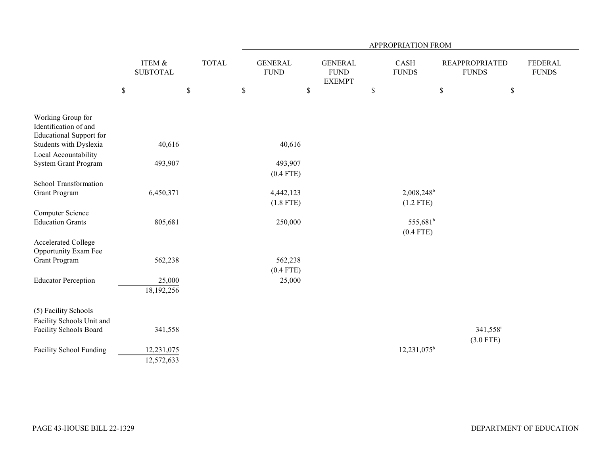|                                                                              |                           |            |              | APPROPRIATION FROM |                               |              |                                                |    |                        |             |                                       |                                |  |
|------------------------------------------------------------------------------|---------------------------|------------|--------------|--------------------|-------------------------------|--------------|------------------------------------------------|----|------------------------|-------------|---------------------------------------|--------------------------------|--|
|                                                                              | ITEM &<br><b>SUBTOTAL</b> |            | <b>TOTAL</b> |                    | <b>GENERAL</b><br><b>FUND</b> |              | <b>GENERAL</b><br><b>FUND</b><br><b>EXEMPT</b> |    | CASH<br><b>FUNDS</b>   |             | <b>REAPPROPRIATED</b><br><b>FUNDS</b> | <b>FEDERAL</b><br><b>FUNDS</b> |  |
|                                                                              | $\$$                      | $\$$       |              | $\mathbb{S}$       |                               | $\mathbb{S}$ |                                                | \$ |                        | $\mathbb S$ | \$                                    |                                |  |
| Working Group for<br>Identification of and<br><b>Educational Support for</b> |                           |            |              |                    |                               |              |                                                |    |                        |             |                                       |                                |  |
| Students with Dyslexia                                                       |                           | 40,616     |              |                    | 40,616                        |              |                                                |    |                        |             |                                       |                                |  |
| Local Accountability                                                         |                           |            |              |                    |                               |              |                                                |    |                        |             |                                       |                                |  |
| System Grant Program                                                         |                           | 493,907    |              |                    | 493,907                       |              |                                                |    |                        |             |                                       |                                |  |
|                                                                              |                           |            |              |                    | $(0.4$ FTE)                   |              |                                                |    |                        |             |                                       |                                |  |
| School Transformation                                                        |                           |            |              |                    |                               |              |                                                |    |                        |             |                                       |                                |  |
| <b>Grant Program</b>                                                         |                           | 6,450,371  |              |                    | 4,442,123                     |              |                                                |    | 2,008,248 <sup>b</sup> |             |                                       |                                |  |
|                                                                              |                           |            |              |                    | $(1.8$ FTE)                   |              |                                                |    | $(1.2$ FTE)            |             |                                       |                                |  |
| Computer Science                                                             |                           |            |              |                    |                               |              |                                                |    |                        |             |                                       |                                |  |
| <b>Education Grants</b>                                                      |                           | 805,681    |              |                    | 250,000                       |              |                                                |    | 555,681 <sup>b</sup>   |             |                                       |                                |  |
|                                                                              |                           |            |              |                    |                               |              |                                                |    | $(0.4$ FTE)            |             |                                       |                                |  |
| Accelerated College<br>Opportunity Exam Fee                                  |                           |            |              |                    |                               |              |                                                |    |                        |             |                                       |                                |  |
| <b>Grant Program</b>                                                         |                           | 562,238    |              |                    | 562,238                       |              |                                                |    |                        |             |                                       |                                |  |
|                                                                              |                           |            |              |                    | $(0.4$ FTE)                   |              |                                                |    |                        |             |                                       |                                |  |
| <b>Educator Perception</b>                                                   |                           | 25,000     |              |                    | 25,000                        |              |                                                |    |                        |             |                                       |                                |  |
|                                                                              |                           | 18,192,256 |              |                    |                               |              |                                                |    |                        |             |                                       |                                |  |
| (5) Facility Schools                                                         |                           |            |              |                    |                               |              |                                                |    |                        |             |                                       |                                |  |
| Facility Schools Unit and                                                    |                           |            |              |                    |                               |              |                                                |    |                        |             |                                       |                                |  |
| Facility Schools Board                                                       |                           | 341,558    |              |                    |                               |              |                                                |    |                        |             | $341,558$ <sup>i</sup>                |                                |  |
|                                                                              |                           |            |              |                    |                               |              |                                                |    |                        |             | $(3.0$ FTE)                           |                                |  |
| <b>Facility School Funding</b>                                               |                           | 12,231,075 |              |                    |                               |              |                                                |    | $12,231,075^b$         |             |                                       |                                |  |
|                                                                              |                           | 12,572,633 |              |                    |                               |              |                                                |    |                        |             |                                       |                                |  |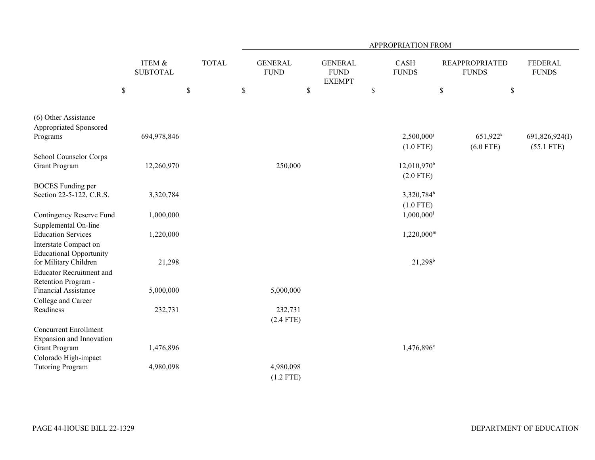|                                                        |                                      |              | APPROPRIATION FROM            |                                                |                           |                                       |                                |  |  |  |  |  |
|--------------------------------------------------------|--------------------------------------|--------------|-------------------------------|------------------------------------------------|---------------------------|---------------------------------------|--------------------------------|--|--|--|--|--|
|                                                        | <b>ITEM &amp;</b><br><b>SUBTOTAL</b> | <b>TOTAL</b> | <b>GENERAL</b><br><b>FUND</b> | <b>GENERAL</b><br><b>FUND</b><br><b>EXEMPT</b> | CASH<br><b>FUNDS</b>      | <b>REAPPROPRIATED</b><br><b>FUNDS</b> | <b>FEDERAL</b><br><b>FUNDS</b> |  |  |  |  |  |
|                                                        | $\$$                                 | $\mathbb S$  | $\mathbb S$                   | $\$$                                           | \$                        | $\$$                                  | $\mathbb{S}$                   |  |  |  |  |  |
| (6) Other Assistance                                   |                                      |              |                               |                                                |                           |                                       |                                |  |  |  |  |  |
| Appropriated Sponsored                                 |                                      |              |                               |                                                |                           |                                       |                                |  |  |  |  |  |
| Programs                                               | 694,978,846                          |              |                               |                                                | 2,500,000                 | $651,922^k$                           | 691,826,924(I)                 |  |  |  |  |  |
|                                                        |                                      |              |                               |                                                | $(1.0$ FTE)               | $(6.0$ FTE)                           | $(55.1$ FTE)                   |  |  |  |  |  |
| School Counselor Corps                                 |                                      |              |                               |                                                |                           |                                       |                                |  |  |  |  |  |
| <b>Grant Program</b>                                   | 12,260,970                           |              | 250,000                       |                                                | $12,010,970$ <sup>b</sup> |                                       |                                |  |  |  |  |  |
|                                                        |                                      |              |                               |                                                | $(2.0$ FTE)               |                                       |                                |  |  |  |  |  |
| <b>BOCES</b> Funding per                               |                                      |              |                               |                                                |                           |                                       |                                |  |  |  |  |  |
| Section 22-5-122, C.R.S.                               | 3,320,784                            |              |                               |                                                | 3,320,784 <sup>b</sup>    |                                       |                                |  |  |  |  |  |
|                                                        |                                      |              |                               |                                                | $(1.0$ FTE)               |                                       |                                |  |  |  |  |  |
| Contingency Reserve Fund                               | 1,000,000                            |              |                               |                                                | $1,000,000$ <sup>1</sup>  |                                       |                                |  |  |  |  |  |
| Supplemental On-line                                   |                                      |              |                               |                                                |                           |                                       |                                |  |  |  |  |  |
| <b>Education Services</b>                              | 1,220,000                            |              |                               |                                                | $1,220,000^{\rm m}$       |                                       |                                |  |  |  |  |  |
| Interstate Compact on                                  |                                      |              |                               |                                                |                           |                                       |                                |  |  |  |  |  |
| <b>Educational Opportunity</b>                         |                                      |              |                               |                                                |                           |                                       |                                |  |  |  |  |  |
| for Military Children                                  | 21,298                               |              |                               |                                                | $21,298$ <sup>b</sup>     |                                       |                                |  |  |  |  |  |
| <b>Educator Recruitment and</b><br>Retention Program - |                                      |              |                               |                                                |                           |                                       |                                |  |  |  |  |  |
| Financial Assistance                                   | 5,000,000                            |              | 5,000,000                     |                                                |                           |                                       |                                |  |  |  |  |  |
| College and Career                                     |                                      |              |                               |                                                |                           |                                       |                                |  |  |  |  |  |
| Readiness                                              | 232,731                              |              | 232,731                       |                                                |                           |                                       |                                |  |  |  |  |  |
|                                                        |                                      |              | $(2.4$ FTE)                   |                                                |                           |                                       |                                |  |  |  |  |  |
| <b>Concurrent Enrollment</b>                           |                                      |              |                               |                                                |                           |                                       |                                |  |  |  |  |  |
| Expansion and Innovation                               |                                      |              |                               |                                                |                           |                                       |                                |  |  |  |  |  |
| <b>Grant Program</b>                                   | 1,476,896                            |              |                               |                                                | $1,476,896^e$             |                                       |                                |  |  |  |  |  |
| Colorado High-impact                                   |                                      |              |                               |                                                |                           |                                       |                                |  |  |  |  |  |
| <b>Tutoring Program</b>                                | 4,980,098                            |              | 4,980,098                     |                                                |                           |                                       |                                |  |  |  |  |  |
|                                                        |                                      |              | $(1.2$ FTE)                   |                                                |                           |                                       |                                |  |  |  |  |  |
|                                                        |                                      |              |                               |                                                |                           |                                       |                                |  |  |  |  |  |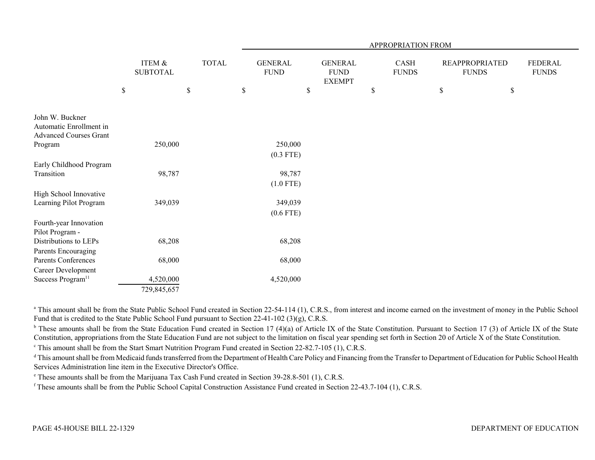|                                                                             |             |                                      |      |              | APPROPRIATION FROM            |      |                                                |      |                      |    |                                       |      |                                |  |
|-----------------------------------------------------------------------------|-------------|--------------------------------------|------|--------------|-------------------------------|------|------------------------------------------------|------|----------------------|----|---------------------------------------|------|--------------------------------|--|
|                                                                             |             | <b>ITEM &amp;</b><br><b>SUBTOTAL</b> |      | <b>TOTAL</b> | <b>GENERAL</b><br><b>FUND</b> |      | <b>GENERAL</b><br><b>FUND</b><br><b>EXEMPT</b> |      | CASH<br><b>FUNDS</b> |    | <b>REAPPROPRIATED</b><br><b>FUNDS</b> |      | <b>FEDERAL</b><br><b>FUNDS</b> |  |
|                                                                             | $\mathbb S$ |                                      | $\$$ |              | \$                            | $\$$ |                                                | $\$$ |                      | \$ |                                       | $\$$ |                                |  |
| John W. Buckner<br>Automatic Enrollment in<br><b>Advanced Courses Grant</b> |             |                                      |      |              |                               |      |                                                |      |                      |    |                                       |      |                                |  |
| Program                                                                     |             | 250,000                              |      |              | 250,000                       |      |                                                |      |                      |    |                                       |      |                                |  |
|                                                                             |             |                                      |      |              | $(0.3$ FTE)                   |      |                                                |      |                      |    |                                       |      |                                |  |
| Early Childhood Program                                                     |             |                                      |      |              |                               |      |                                                |      |                      |    |                                       |      |                                |  |
| Transition                                                                  |             | 98,787                               |      |              | 98,787                        |      |                                                |      |                      |    |                                       |      |                                |  |
|                                                                             |             |                                      |      |              | $(1.0$ FTE)                   |      |                                                |      |                      |    |                                       |      |                                |  |
| High School Innovative                                                      |             |                                      |      |              |                               |      |                                                |      |                      |    |                                       |      |                                |  |
| Learning Pilot Program                                                      |             | 349,039                              |      |              | 349,039                       |      |                                                |      |                      |    |                                       |      |                                |  |
|                                                                             |             |                                      |      |              | (0.6 FTE)                     |      |                                                |      |                      |    |                                       |      |                                |  |
| Fourth-year Innovation<br>Pilot Program -                                   |             |                                      |      |              |                               |      |                                                |      |                      |    |                                       |      |                                |  |
| Distributions to LEPs                                                       |             | 68,208                               |      |              | 68,208                        |      |                                                |      |                      |    |                                       |      |                                |  |
| Parents Encouraging                                                         |             |                                      |      |              |                               |      |                                                |      |                      |    |                                       |      |                                |  |
| <b>Parents Conferences</b>                                                  |             | 68,000                               |      |              | 68,000                        |      |                                                |      |                      |    |                                       |      |                                |  |
| Career Development                                                          |             |                                      |      |              |                               |      |                                                |      |                      |    |                                       |      |                                |  |
| Success Program <sup>11</sup>                                               |             | 4,520,000                            |      |              | 4,520,000                     |      |                                                |      |                      |    |                                       |      |                                |  |
|                                                                             |             | 729,845,657                          |      |              |                               |      |                                                |      |                      |    |                                       |      |                                |  |

<sup>a</sup> This amount shall be from the State Public School Fund created in Section 22-54-114 (1), C.R.S., from interest and income earned on the investment of money in the Public School Fund that is credited to the State Public School Fund pursuant to Section 22-41-102 (3)(g), C.R.S.

 $b$  These amounts shall be from the State Education Fund created in Section 17 (4)(a) of Article IX of the State Constitution. Pursuant to Section 17 (3) of Article IX of the State Constitution, appropriations from the State Education Fund are not subject to the limitation on fiscal year spending set forth in Section 20 of Article X of the State Constitution.

<sup>c</sup> This amount shall be from the Start Smart Nutrition Program Fund created in Section 22-82.7-105 (1), C.R.S.

<sup>d</sup> This amount shall be from Medicaid funds transferred from the Department of Health Care Policy and Financing from the Transfer to Department of Education for Public School Health Services Administration line item in the Executive Director's Office.

e These amounts shall be from the Marijuana Tax Cash Fund created in Section 39-28.8-501 (1), C.R.S.

f These amounts shall be from the Public School Capital Construction Assistance Fund created in Section 22-43.7-104 (1), C.R.S.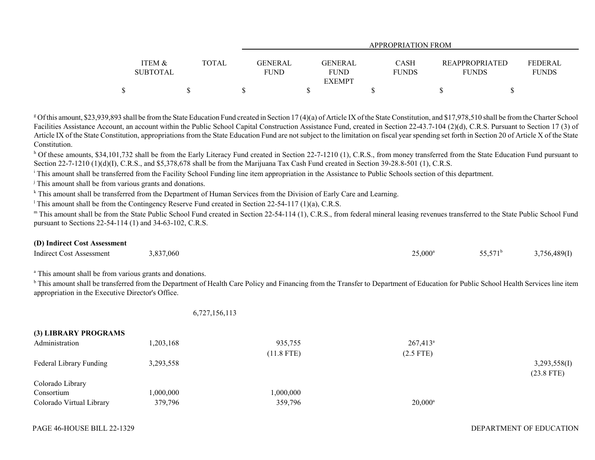|                   |       |                |               | APPROPRIATION FROM |                       |                |
|-------------------|-------|----------------|---------------|--------------------|-----------------------|----------------|
|                   |       |                |               |                    |                       |                |
| <b>ITEM &amp;</b> | TOTAL | <b>GENERAL</b> | GENERAL       | CASH               | <b>REAPPROPRIATED</b> | <b>FEDERAL</b> |
| <b>SUBTOTAL</b>   |       | <b>FUND</b>    | <b>FUND</b>   | <b>FUNDS</b>       | <b>FUNDS</b>          | <b>FUNDS</b>   |
|                   |       |                | <b>EXEMPT</b> |                    |                       |                |
|                   |       |                |               |                    |                       |                |

<sup>g</sup> Of this amount, \$23,939,893 shall be from the State Education Fund created in Section 17 (4)(a) of Article IX of the State Constitution, and \$17,978,510 shall be from the Charter School Facilities Assistance Account, an account within the Public School Capital Construction Assistance Fund, created in Section 22-43.7-104 (2)(d), C.R.S. Pursuant to Section 17 (3) of Article IX of the State Constitution, appropriations from the State Education Fund are not subject to the limitation on fiscal year spending set forth in Section 20 of Article X of the State Constitution.

<sup>h</sup> Of these amounts, \$34,101,732 shall be from the Early Literacy Fund created in Section 22-7-1210 (1), C.R.S., from money transferred from the State Education Fund pursuant to Section 22-7-1210 (1)(d)(I), C.R.S., and \$5,378,678 shall be from the Marijuana Tax Cash Fund created in Section 39-28.8-501 (1), C.R.S.

<sup>i</sup> This amount shall be transferred from the Facility School Funding line item appropriation in the Assistance to Public Schools section of this department.

<sup>j</sup> This amount shall be from various grants and donations.

k This amount shall be transferred from the Department of Human Services from the Division of Early Care and Learning.

<sup>1</sup> This amount shall be from the Contingency Reserve Fund created in Section 22-54-117 (1)(a), C.R.S.

m This amount shall be from the State Public School Fund created in Section 22-54-114 (1), C.R.S., from federal mineral leasing revenues transferred to the State Public School Fund pursuant to Sections 22-54-114 (1) and 34-63-102, C.R.S.

## **(D) Indirect Cost Assessment**

| <b>Indirect Cost Assessment</b> | 3,837,060<br>J.OJ | 25,000 | -- ---<br>، ب | 3,756,489(I)<br><b>ب</b> پ |
|---------------------------------|-------------------|--------|---------------|----------------------------|
|---------------------------------|-------------------|--------|---------------|----------------------------|

<sup>a</sup> This amount shall be from various grants and donations.

<sup>b</sup> This amount shall be transferred from the Department of Health Care Policy and Financing from the Transfer to Department of Education for Public School Health Services line item appropriation in the Executive Director's Office.

6,727,156,113

| (3) LIBRARY PROGRAMS     |           |              |                   |              |
|--------------------------|-----------|--------------|-------------------|--------------|
| Administration           | ,203,168  | 935,755      | $267,413^{\circ}$ |              |
|                          |           | $(11.8$ FTE) | $(2.5$ FTE)       |              |
| Federal Library Funding  | 3,293,558 |              |                   | 3,293,558(I) |
|                          |           |              |                   | $(23.8$ FTE) |
| Colorado Library         |           |              |                   |              |
| Consortium               | ,000,000  | 1,000,000    |                   |              |
| Colorado Virtual Library | 379,796   | 359,796      | $20,000^{\rm a}$  |              |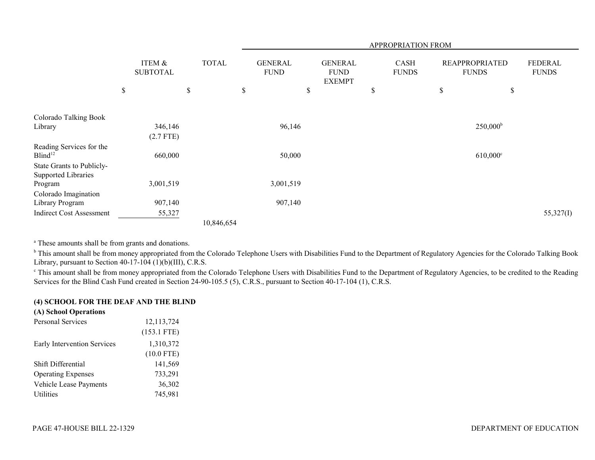|                                                  |                           |              | APPROPRIATION FROM            |    |                                                |    |                             |    |                                       |    |                         |
|--------------------------------------------------|---------------------------|--------------|-------------------------------|----|------------------------------------------------|----|-----------------------------|----|---------------------------------------|----|-------------------------|
|                                                  | ITEM &<br><b>SUBTOTAL</b> | <b>TOTAL</b> | <b>GENERAL</b><br><b>FUND</b> |    | <b>GENERAL</b><br><b>FUND</b><br><b>EXEMPT</b> |    | <b>CASH</b><br><b>FUNDS</b> |    | <b>REAPPROPRIATED</b><br><b>FUNDS</b> |    | FEDERAL<br><b>FUNDS</b> |
|                                                  | \$                        | \$           | \$                            | \$ |                                                | \$ |                             | \$ |                                       | \$ |                         |
| Colorado Talking Book                            |                           |              |                               |    |                                                |    |                             |    |                                       |    |                         |
| Library                                          | 346,146                   |              | 96,146                        |    |                                                |    |                             |    | $250,000^{\rm b}$                     |    |                         |
|                                                  | $(2.7$ FTE)               |              |                               |    |                                                |    |                             |    |                                       |    |                         |
| Reading Services for the<br>Blind <sup>12</sup>  | 660,000                   |              | 50,000                        |    |                                                |    |                             |    | $610,000^{\circ}$                     |    |                         |
| State Grants to Publicly-<br>Supported Libraries |                           |              |                               |    |                                                |    |                             |    |                                       |    |                         |
| Program                                          | 3,001,519                 |              | 3,001,519                     |    |                                                |    |                             |    |                                       |    |                         |
| Colorado Imagination                             |                           |              |                               |    |                                                |    |                             |    |                                       |    |                         |
| Library Program                                  | 907,140                   |              | 907,140                       |    |                                                |    |                             |    |                                       |    |                         |
| <b>Indirect Cost Assessment</b>                  | 55,327                    |              |                               |    |                                                |    |                             |    |                                       |    | 55,327(I)               |
|                                                  |                           | 10,846,654   |                               |    |                                                |    |                             |    |                                       |    |                         |

<sup>a</sup> These amounts shall be from grants and donations.

<sup>b</sup> This amount shall be from money appropriated from the Colorado Telephone Users with Disabilities Fund to the Department of Regulatory Agencies for the Colorado Talking Book Library, pursuant to Section  $40-17-104$  (1)(b)(III), C.R.S.

<sup>c</sup> This amount shall be from money appropriated from the Colorado Telephone Users with Disabilities Fund to the Department of Regulatory Agencies, to be credited to the Reading Services for the Blind Cash Fund created in Section 24-90-105.5 (5), C.R.S., pursuant to Section 40-17-104 (1), C.R.S.

## **(4) SCHOOL FOR THE DEAF AND THE BLIND**

## **(A) School Operations**

| Personal Services                  | 12, 113, 724  |
|------------------------------------|---------------|
|                                    | $(153.1$ FTE) |
| <b>Early Intervention Services</b> | 1,310,372     |
|                                    | $(10.0$ FTE)  |
| Shift Differential                 | 141,569       |
| <b>Operating Expenses</b>          | 733,291       |
| <b>Vehicle Lease Payments</b>      | 36,302        |
| <b>Utilities</b>                   | 745,981       |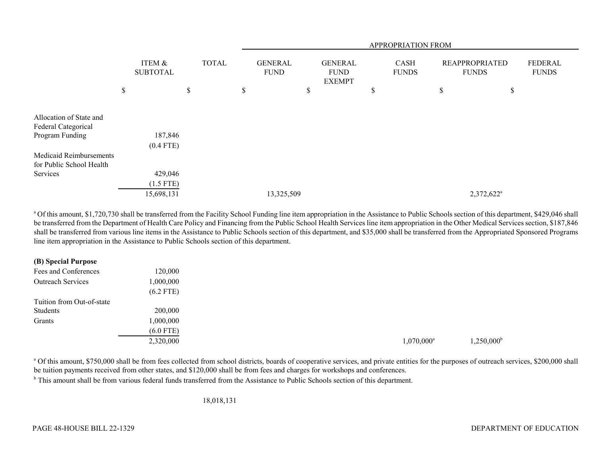|                          |                           |              |                               |                                                | APPROPRIATION FROM   |                                       |                                |
|--------------------------|---------------------------|--------------|-------------------------------|------------------------------------------------|----------------------|---------------------------------------|--------------------------------|
|                          | ITEM &<br><b>SUBTOTAL</b> | <b>TOTAL</b> | <b>GENERAL</b><br><b>FUND</b> | <b>GENERAL</b><br><b>FUND</b><br><b>EXEMPT</b> | CASH<br><b>FUNDS</b> | <b>REAPPROPRIATED</b><br><b>FUNDS</b> | <b>FEDERAL</b><br><b>FUNDS</b> |
|                          | \$                        | \$           | \$                            | \$                                             | \$                   | \$<br>\$                              |                                |
|                          |                           |              |                               |                                                |                      |                                       |                                |
| Allocation of State and  |                           |              |                               |                                                |                      |                                       |                                |
| Federal Categorical      |                           |              |                               |                                                |                      |                                       |                                |
| Program Funding          | 187,846                   |              |                               |                                                |                      |                                       |                                |
|                          | $(0.4$ FTE)               |              |                               |                                                |                      |                                       |                                |
| Medicaid Reimbursements  |                           |              |                               |                                                |                      |                                       |                                |
| for Public School Health |                           |              |                               |                                                |                      |                                       |                                |
| Services                 | 429,046                   |              |                               |                                                |                      |                                       |                                |
|                          | $(1.5$ FTE)               |              |                               |                                                |                      |                                       |                                |
|                          | 15,698,131                |              | 13,325,509                    |                                                |                      | 2,372,622 <sup>a</sup>                |                                |

<sup>a</sup> Of this amount, \$1,720,730 shall be transferred from the Facility School Funding line item appropriation in the Assistance to Public Schools section of this department, \$429,046 shall be transferred from the Department of Health Care Policy and Financing from the Public School Health Services line item appropriation in the Other Medical Services section, \$187,846 shall be transferred from various line items in the Assistance to Public Schools section of this department, and \$35,000 shall be transferred from the Appropriated Sponsored Programs line item appropriation in the Assistance to Public Schools section of this department.

|  |  | (B) Special Purpose |
|--|--|---------------------|
|--|--|---------------------|

| Fees and Conferences      | 120,000     |
|---------------------------|-------------|
| <b>Outreach Services</b>  | 1,000,000   |
|                           | $(6.2$ FTE) |
| Tuition from Out-of-state |             |
| Students                  | 200,000     |
| Grants                    | 1,000,000   |
|                           | $(6.0$ FTE) |
|                           | 2,320,000   |

 $1,070,000^{\circ}$   $1,250,000^{\circ}$   $1,250,000^{\circ}$ 

<sup>a</sup> Of this amount, \$750,000 shall be from fees collected from school districts, boards of cooperative services, and private entities for the purposes of outreach services, \$200,000 shall be tuition payments received from other states, and \$120,000 shall be from fees and charges for workshops and conferences.

<sup>b</sup> This amount shall be from various federal funds transferred from the Assistance to Public Schools section of this department.

18,018,131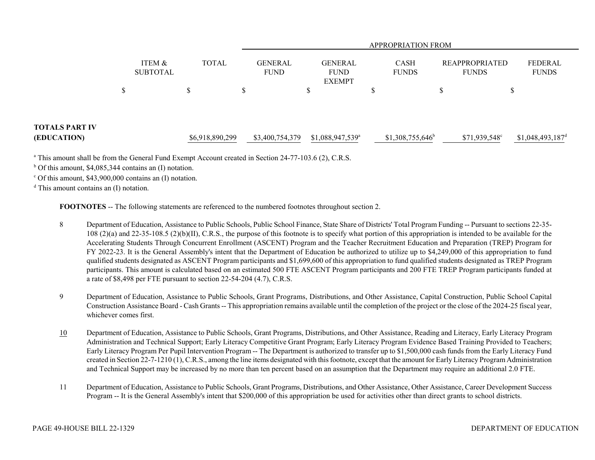|                                      |                           |                 |                               |                                                | <b>APPROPRIATION FROM</b>   |   |                                       |                                |  |
|--------------------------------------|---------------------------|-----------------|-------------------------------|------------------------------------------------|-----------------------------|---|---------------------------------------|--------------------------------|--|
|                                      | ITEM &<br><b>SUBTOTAL</b> | <b>TOTAL</b>    | <b>GENERAL</b><br><b>FUND</b> | <b>GENERAL</b><br><b>FUND</b><br><b>EXEMPT</b> | <b>CASH</b><br><b>FUNDS</b> |   | <b>REAPPROPRIATED</b><br><b>FUNDS</b> | <b>FEDERAL</b><br><b>FUNDS</b> |  |
|                                      | \$                        | ъ               | \$                            | D                                              |                             | S |                                       |                                |  |
| <b>TOTALS PART IV</b><br>(EDUCATION) |                           | \$6,918,890,299 | \$3,400,754,379               | $$1,088,947,539$ <sup>a</sup>                  | $$1,308,755,646^b$          |   | $$71,939,548^{\circ}$                 | $$1,048,493,187$ <sup>d</sup>  |  |

a This amount shall be from the General Fund Exempt Account created in Section 24-77-103.6 (2), C.R.S.

 $b$  Of this amount, \$4,085,344 contains an (I) notation.

 $\degree$  Of this amount, \$43,900,000 contains an (I) notation.

 $d$  This amount contains an  $(I)$  notation.

**FOOTNOTES** -- The following statements are referenced to the numbered footnotes throughout section 2.

- 8 Department of Education, Assistance to Public Schools, Public School Finance, State Share of Districts' Total Program Funding -- Pursuant to sections 22-35- 108 (2)(a) and 22-35-108.5 (2)(b)(II), C.R.S., the purpose of this footnote is to specify what portion of this appropriation is intended to be available for the Accelerating Students Through Concurrent Enrollment (ASCENT) Program and the Teacher Recruitment Education and Preparation (TREP) Program for FY 2022-23. It is the General Assembly's intent that the Department of Education be authorized to utilize up to \$4,249,000 of this appropriation to fund qualified students designated as ASCENT Program participants and \$1,699,600 of this appropriation to fund qualified students designated as TREP Program participants. This amount is calculated based on an estimated 500 FTE ASCENT Program participants and 200 FTE TREP Program participants funded at a rate of \$8,498 per FTE pursuant to section 22-54-204 (4.7), C.R.S.
- 9 Department of Education, Assistance to Public Schools, Grant Programs, Distributions, and Other Assistance, Capital Construction, Public School Capital Construction Assistance Board - Cash Grants -- This appropriation remains available until the completion of the project or the close of the 2024-25 fiscal year, whichever comes first.
- 10 Department of Education, Assistance to Public Schools, Grant Programs, Distributions, and Other Assistance, Reading and Literacy, Early Literacy Program Administration and Technical Support; Early Literacy Competitive Grant Program; Early Literacy Program Evidence Based Training Provided to Teachers; Early Literacy Program Per Pupil Intervention Program -- The Department is authorized to transfer up to \$1,500,000 cash funds from the Early Literacy Fund created in Section 22-7-1210 (1), C.R.S., among the line items designated with this footnote, except that the amount for Early Literacy Program Administration and Technical Support may be increased by no more than ten percent based on an assumption that the Department may require an additional 2.0 FTE.
- 11 Department of Education, Assistance to Public Schools, Grant Programs, Distributions, and Other Assistance, Other Assistance, Career Development Success Program -- It is the General Assembly's intent that \$200,000 of this appropriation be used for activities other than direct grants to school districts.